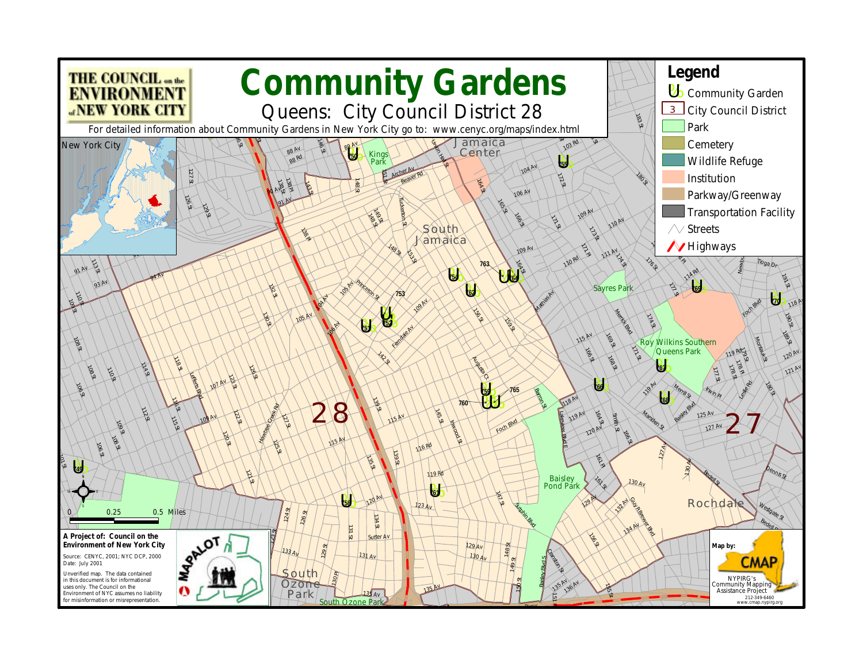